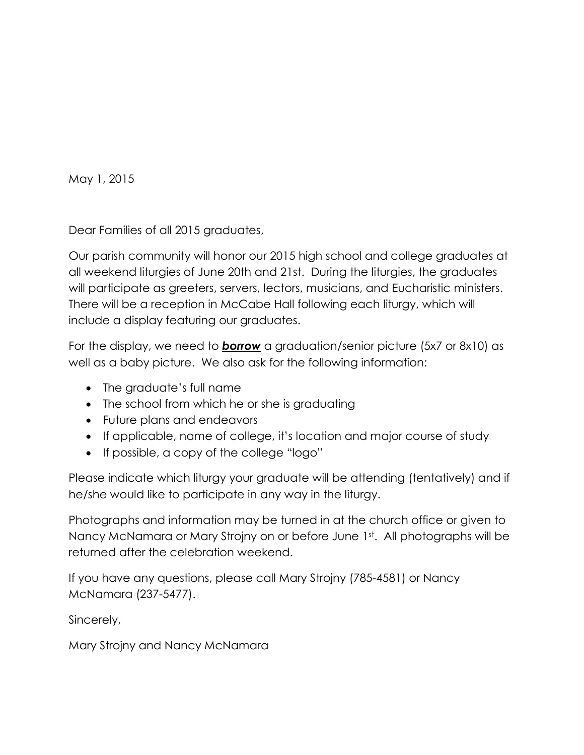May 1, 2015

Dear Families of all 2015 graduates,

Our parish community will honor our 2015 high school and college graduates at all weekend liturgies of June 20th and 21st. During the liturgies, the graduates will participate as greeters, servers, lectors, musicians, and Eucharistic ministers. There will be a reception in McCabe Hall following each liturgy, which will include a display featuring our graduates.

For the display, we need to *borrow* a graduation/senior picture (5x7 or 8x10) as well as a baby picture. We also ask for the following information:

- The graduate's full name
- The school from which he or she is graduating
- Future plans and endeavors
- If applicable, name of college, it's location and major course of study
- If possible, a copy of the college "logo"

Please indicate which liturgy your graduate will be attending (tentatively) and if he/she would like to participate in any way in the liturgy.

Photographs and information may be turned in at the church office or given to Nancy McNamara or Mary Strojny on or before June 1st. All photographs will be returned after the celebration weekend.

If you have any questions, please call Mary Strojny (785-4581) or Nancy McNamara (237-5477).

Sincerely,

Mary Strojny and Nancy McNamara